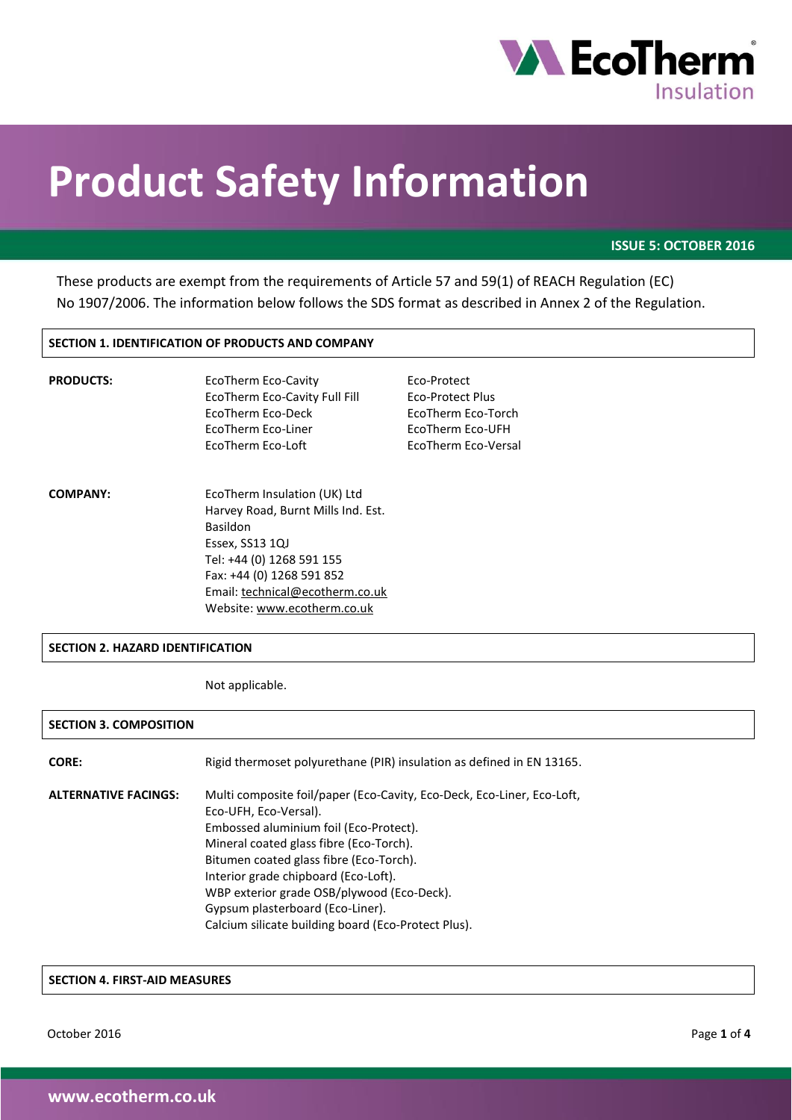

# **Product Safety Information**

**ISSUE 5: OCTOBER 2016**

These products are exempt from the requirements of Article 57 and 59(1) of REACH Regulation (EC) No 1907/2006. The information below follows the SDS format as described in Annex 2 of the Regulation.

# **SECTION 1. IDENTIFICATION OF PRODUCTS AND COMPANY**

| <b>PRODUCTS:</b> | EcoTherm Eco-Cavity<br>EcoTherm Eco-Cavity Full Fill<br>EcoTherm Eco-Deck<br>EcoTherm Eco-Liner<br>EcoTherm Eco-Loft                                                                                                                 | Eco-Protect<br>Eco-Protect Plus<br>EcoTherm Eco-Torch<br>EcoTherm Eco-UFH<br>EcoTherm Eco-Versal |
|------------------|--------------------------------------------------------------------------------------------------------------------------------------------------------------------------------------------------------------------------------------|--------------------------------------------------------------------------------------------------|
| <b>COMPANY:</b>  | EcoTherm Insulation (UK) Ltd<br>Harvey Road, Burnt Mills Ind. Est.<br><b>Basildon</b><br>Essex, SS13 1QJ<br>Tel: +44 (0) 1268 591 155<br>Fax: +44 (0) 1268 591 852<br>Email: technical@ecotherm.co.uk<br>Website: www.ecotherm.co.uk |                                                                                                  |

## **SECTION 2. HAZARD IDENTIFICATION**

Not applicable.

## **SECTION 3. COMPOSITION**

| <b>CORE:</b>                | Rigid thermoset polyurethane (PIR) insulation as defined in EN 13165.                                                                                                                                                                                                                                                                                                                                            |
|-----------------------------|------------------------------------------------------------------------------------------------------------------------------------------------------------------------------------------------------------------------------------------------------------------------------------------------------------------------------------------------------------------------------------------------------------------|
| <b>ALTERNATIVE FACINGS:</b> | Multi composite foil/paper (Eco-Cavity, Eco-Deck, Eco-Liner, Eco-Loft,<br>Eco-UFH, Eco-Versal).<br>Embossed aluminium foil (Eco-Protect).<br>Mineral coated glass fibre (Eco-Torch).<br>Bitumen coated glass fibre (Eco-Torch).<br>Interior grade chipboard (Eco-Loft).<br>WBP exterior grade OSB/plywood (Eco-Deck).<br>Gypsum plasterboard (Eco-Liner).<br>Calcium silicate building board (Eco-Protect Plus). |

## **SECTION 4. FIRST-AID MEASURES**

October 2016 Page **1** of **4**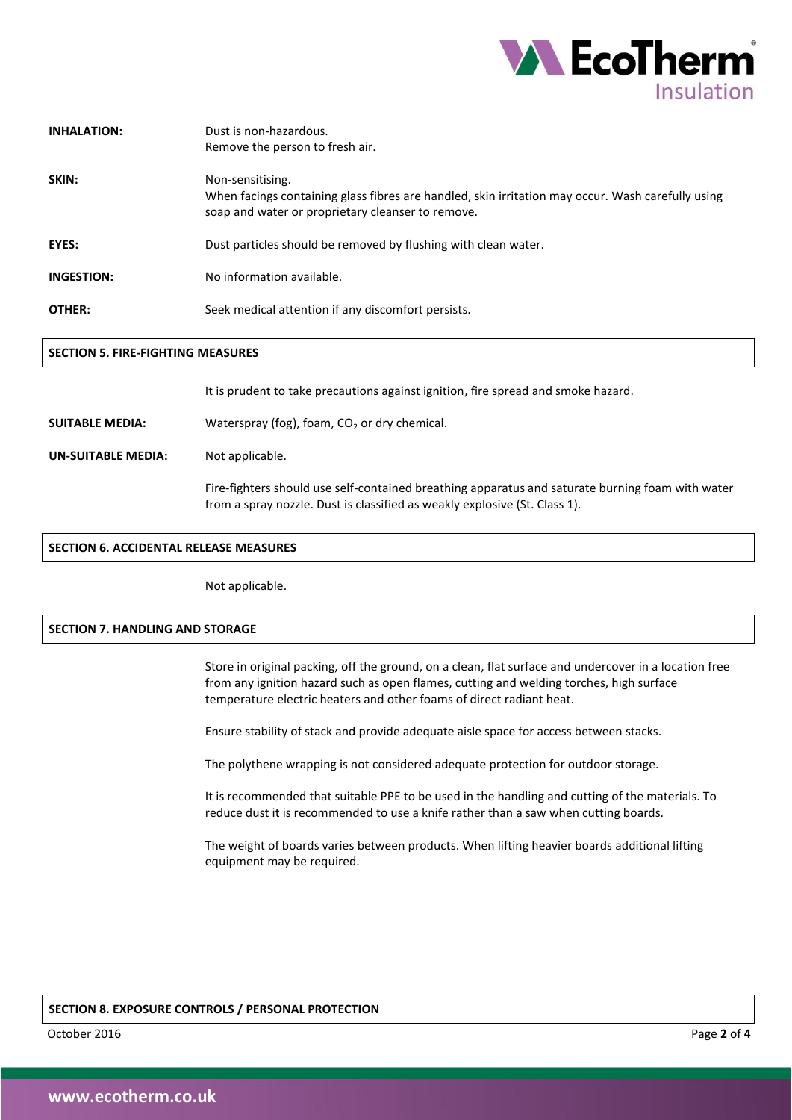

| <b>INHALATION:</b> | Dust is non-hazardous.                                                                                                                                                     |
|--------------------|----------------------------------------------------------------------------------------------------------------------------------------------------------------------------|
|                    | Remove the person to fresh air.                                                                                                                                            |
| SKIN:              | Non-sensitising.<br>When facings containing glass fibres are handled, skin irritation may occur. Wash carefully using<br>soap and water or proprietary cleanser to remove. |
| <b>EYES:</b>       | Dust particles should be removed by flushing with clean water.                                                                                                             |
| <b>INGESTION:</b>  | No information available.                                                                                                                                                  |
| OTHER:             | Seek medical attention if any discomfort persists.                                                                                                                         |
|                    |                                                                                                                                                                            |

# **SECTION 5. FIRE-FIGHTING MEASURES**

It is prudent to take precautions against ignition, fire spread and smoke hazard.

**SUITABLE MEDIA:** Waterspray (fog), foam, CO<sub>2</sub> or dry chemical.

**UN-SUITABLE MEDIA:** Not applicable.

Fire-fighters should use self-contained breathing apparatus and saturate burning foam with water from a spray nozzle. Dust is classified as weakly explosive (St. Class 1).

## **SECTION 6. ACCIDENTAL RELEASE MEASURES**

Not applicable.

# **SECTION 7. HANDLING AND STORAGE**

Store in original packing, off the ground, on a clean, flat surface and undercover in a location free from any ignition hazard such as open flames, cutting and welding torches, high surface temperature electric heaters and other foams of direct radiant heat.

Ensure stability of stack and provide adequate aisle space for access between stacks.

The polythene wrapping is not considered adequate protection for outdoor storage.

It is recommended that suitable PPE to be used in the handling and cutting of the materials. To reduce dust it is recommended to use a knife rather than a saw when cutting boards.

The weight of boards varies between products. When lifting heavier boards additional lifting equipment may be required.

## **SECTION 8. EXPOSURE CONTROLS / PERSONAL PROTECTION**

October 2016 Page **2** of **4**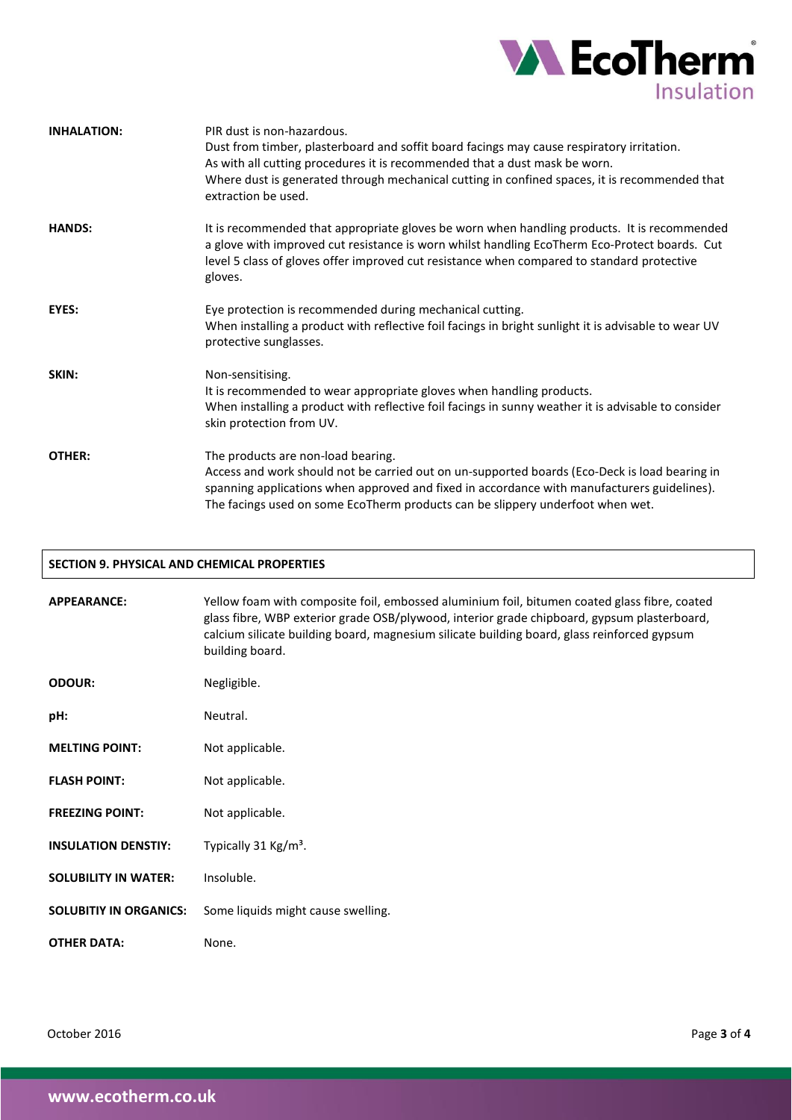

| <b>INHALATION:</b> | PIR dust is non-hazardous.<br>Dust from timber, plasterboard and soffit board facings may cause respiratory irritation.<br>As with all cutting procedures it is recommended that a dust mask be worn.<br>Where dust is generated through mechanical cutting in confined spaces, it is recommended that<br>extraction be used. |
|--------------------|-------------------------------------------------------------------------------------------------------------------------------------------------------------------------------------------------------------------------------------------------------------------------------------------------------------------------------|
| <b>HANDS:</b>      | It is recommended that appropriate gloves be worn when handling products. It is recommended<br>a glove with improved cut resistance is worn whilst handling EcoTherm Eco-Protect boards. Cut<br>level 5 class of gloves offer improved cut resistance when compared to standard protective<br>gloves.                         |
| EYES:              | Eye protection is recommended during mechanical cutting.<br>When installing a product with reflective foil facings in bright sunlight it is advisable to wear UV<br>protective sunglasses.                                                                                                                                    |
| SKIN:              | Non-sensitising.<br>It is recommended to wear appropriate gloves when handling products.<br>When installing a product with reflective foil facings in sunny weather it is advisable to consider<br>skin protection from UV.                                                                                                   |
| <b>OTHER:</b>      | The products are non-load bearing.<br>Access and work should not be carried out on un-supported boards (Eco-Deck is load bearing in<br>spanning applications when approved and fixed in accordance with manufacturers guidelines).<br>The facings used on some EcoTherm products can be slippery underfoot when wet.          |

| <b>SECTION 9. PHYSICAL AND CHEMICAL PROPERTIES</b> |                                                                                                                                                                                                                                                                                                               |  |
|----------------------------------------------------|---------------------------------------------------------------------------------------------------------------------------------------------------------------------------------------------------------------------------------------------------------------------------------------------------------------|--|
| <b>APPEARANCE:</b>                                 | Yellow foam with composite foil, embossed aluminium foil, bitumen coated glass fibre, coated<br>glass fibre, WBP exterior grade OSB/plywood, interior grade chipboard, gypsum plasterboard,<br>calcium silicate building board, magnesium silicate building board, glass reinforced gypsum<br>building board. |  |
| <b>ODOUR:</b>                                      | Negligible.                                                                                                                                                                                                                                                                                                   |  |
| pH:                                                | Neutral.                                                                                                                                                                                                                                                                                                      |  |
| <b>MELTING POINT:</b>                              | Not applicable.                                                                                                                                                                                                                                                                                               |  |
| <b>FLASH POINT:</b>                                | Not applicable.                                                                                                                                                                                                                                                                                               |  |
| <b>FREEZING POINT:</b>                             | Not applicable.                                                                                                                                                                                                                                                                                               |  |
| <b>INSULATION DENSTIY:</b>                         | Typically 31 Kg/m <sup>3</sup> .                                                                                                                                                                                                                                                                              |  |
| <b>SOLUBILITY IN WATER:</b>                        | Insoluble.                                                                                                                                                                                                                                                                                                    |  |
| <b>SOLUBITIY IN ORGANICS:</b>                      | Some liquids might cause swelling.                                                                                                                                                                                                                                                                            |  |
| <b>OTHER DATA:</b>                                 | None.                                                                                                                                                                                                                                                                                                         |  |